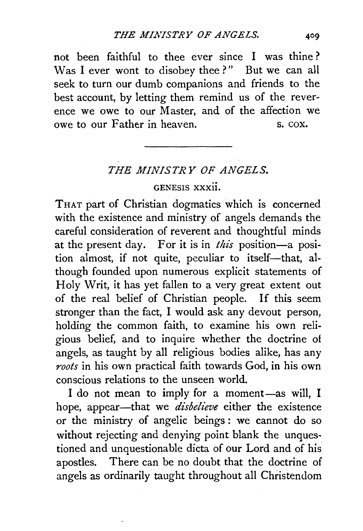not been faithful to thee ever since I was thine ? Was I ever wont to disobey thee?" But we can all seek to turn our dumb companions and friends to the best account, by letting them remind us of the reverence we owe to our Master, and of the affection we owe to our Father in heaven. S. COX.

## *THE MINISTRY OF ANGELS.*

## GENESIS xxxii.

THAT part of Christian dogmatics which is concerned with the existence and ministry of angels demands the careful consideration of reverent and thoughtful minds at the present day. For it is in *this* position-a position almost, if not quite, peculiar to itself-that, although founded upon numerous explicit statements of Holy Writ, it has yet fallen to a very great extent out of the real belief of Christian people. If this seem stronger than the fact, I would ask any devout person, holding the common faith, to examine his own religious belief, and to inquire whether the doctrine of angels, as taught by all religious bodies alike, has any *roots* in his own practical faith towards God, in his own conscious relations to the unseen world.

I do not mean to imply for a moment-as will, I hope, appear-that we *disbelieve* either the existence or the ministry of angelic beings : we cannot do so without rejecting and denying point blank the unquestioned and unquestionable dicta of our Lord and of his apostles. There can be no doubt that the doctrine of angels as ordinarily taught throughout all Christendom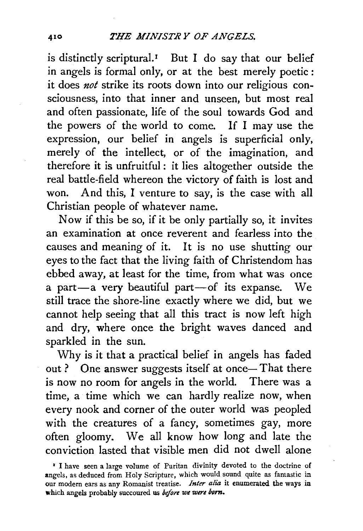is distinctly scriptural.<sup> $I$ </sup> But I do say that our belief in angels is formal only, or at the best merely poetic : it does *not* strike its roots down into our religious consciousness, into that inner and unseen, but most real and often passionate, life of the soul towards God and the powers of the world to come. If I may use the expression, our belief in angels is superficial only, merely of the intellect, or of the imagination, and therefore it is unfruitful : it lies altogether outside the real battle-field whereon the victory of faith is lost and won. And this, I venture to say, is the case with all Christian people of whatever name.

Now if this be so, if it be only partially so, it invites an examination at once reverent and fearless into the causes and meaning of it. It is no use shutting our eyes to the fact that the living faith of Christendom has ebbed away, at least for the time, from what was once a part-a very beautiful part-of its expanse. We still trace the shore-line exactly where we did, but we cannot help seeing that all this tract is now left high and dry, where once the bright waves danced and sparkled in the sun.

Why is it that a practical belief in angels has faded out ? One answer suggests itself at once- That there is now no room for angels in the world. There was a time, a time which we can hardly realize now, when every nook and corner of the outer world was peopled with the creatures of a fancy, sometimes gay, more often gloomy. We all know how long and late the conviction lasted that visible men did not dwell alone

<sup>&</sup>lt;sup>1</sup> I have seen a large volume of Puritan divinity devoted to the doctrine of angels, as deduced from Holy Scripture, which would sound quite as fantastic in our modern ears as any Romanist treatise. *Inter alia* it enumerated the ways in which angels probably succoured us *before we were born.*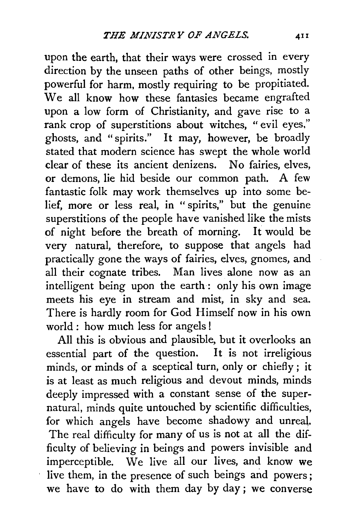upon the earth, that their ways were crossed in every direction by the unseen paths of other beings, mostly powerful for harm, mostly requiring to be propitiated. We all know how these fantasies became engrafted upon a low form of Christianity, and gave rise to a rank crop of superstitions about witches, " evil eyes," ghosts, and " spirits." It may, however, be broadly stated that modern science has swept the whole world clear of these its ancient denizens. No fairies, elves, or demons, lie hid beside our common path. A few fantastic folk may work themselves up into some belief, more or less real, in " spirits," but the genuine superstitions of the people have vanished like the mists of night before the breath of morning. It would be very natural, therefore, to suppose that angels had practically gone the ways of fairies, elves, gnomes, and all their cognate tribes. Man lives alone now as an intelligent being upon the earth : only his own image meets his eye in stream and mist, in sky and sea. There is hardly room for God Himself now in his own world : how much less for angels !

All this is obvious and plausible, but it overlooks an essential part of the question. It is not irreligious minds, or minds of a sceptical turn, only or chiefly; it is at least as much religious and devout minds, minds deeply impressed with a constant sense of the supernatural, minds quite untouched by scientific difficulties, for which angels have become shadowy and unreal. The real difficulty for many of us is not at all the difficulty of believing in beings and powers invisible and imperceptible. We live all our lives, and know we live them, in the presence of such beings and powers ; we have to do with them day by day; we converse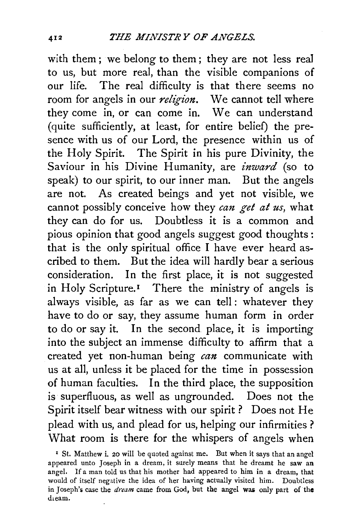with them; we belong to them; they are not less real to us, but more real, than the visible companions of our life. The real difficulty is that there seems no room for angels in our *religion.* We cannot tell where they come in, or can come in. We can understand (quite sufficiently, at least, for entire belief) the presence with us of our Lord, the presence within us of the Holy Spirit. The Spirit in his pure Divinity, the Saviour in his Divine Humanity, are *inward* (so to speak) to our spirit, to our inner man. But the angels are not. As created beings and yet not visible, we cannot possibly conceive how they *can get at us*, what they can do for us. Doubtless it is a common and pious opinion that good angels suggest good thoughts : that is the only spiritual office I have ever heard ascribed to them. But the idea will hardly bear a serious consideration. In the first place, it is not suggested in Holy Scripture.<sup>1</sup> There the ministry of angels is always visible, as far as we can tell: whatever they have to do or say, they assume human form in order to do or say it. In the second place, it is importing into the subject an immense difficulty to affirm that a created yet non-human being *can* communicate with us at all, unless it be placed for the time in possession of human faculties. In the third place, the supposition is superfluous, as well as ungrounded. Does not the Spirit itself bear witness with our spirit ? Does not He plead with us, and plead for us, helping our infirmities ? What room is there for the whispers of angels when

<sup>&</sup>lt;sup>1</sup> St. Matthew i. 20 will be quoted against me. But when it says that an angel appeared unto Joseph in a dream, it surely means that he dreamt he saw an angel. If a man told us that his mother had appeared to him in a dream, that would of itself negative the idea of her having actually visited him. Doubtless in Joseph's case the *dream* came from God, but the angel was only part of the dieam.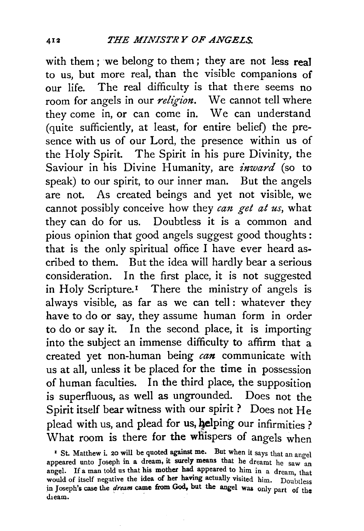with them ; we belong to them; they are not less real to us, but more real, than the visible companions of our life. The real difficulty is that there seems no room for angels in our *religion*. We cannot tell where they come in, or can come in. We can understand (quite sufficiently, at least, for entire belief) the presence with us of our Lord, the presence within us of the Holy Spirit. The Spirit in his pure Divinity, the Saviour in his Divine Humanity, are *inward* (so to speak) to our spirit, to our inner man. But the angels are not. As created beings and yet not visible, we cannot possibly conceive how they *can get at us*, what they can do for us. Doubtless it is a common and pious opinion that good angels suggest good thoughts : that is the only spiritual office I have ever heard ascribed to them. But the idea will hardly bear a serious consideration. In the first place, it is not suggested in Holy Scripture.<sup>1</sup> There the ministry of angels is always visible, as far as we can tell: whatever they have to do or say, they assume human form in order to do or say it. In the second place, it is importing into the subject an immense difficulty to affirm that a created yet non-human being *can* communicate with us at all, unless it be placed for the time in possession of human faculties. In the third place, the supposition is superfluous, as well as ungrounded. Does not the Spirit itself bear witness with our spirit? Does not He plead with us, and plead for us, helping our infirmities ? What room is there for the whispers of angels when

<sup>2</sup> St. Matthew i. 20 will be quoted against me. But when it says that an angel appeared unto Joseph in a dream, it surely means that he dreamt he saw an angel. If a man told us that his mother had appeared to him in a dream, that would of itself negative the idea of her having actually visited him. Doubtless in Joseph's case the *dream* came from God, but the angel was only part of the dieam.

 $\overline{412}$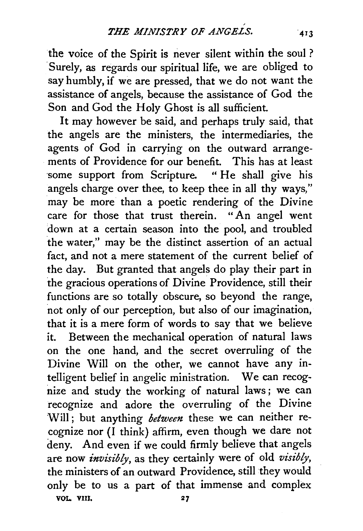the voice of the Spirit is never silent within the soul ? Surely, as regards our spiritual life, we are obliged to say humbly, if we are pressed, that we do not want the assistance of angels, because the assistance of God the Son and God the Holy Ghost is all sufficient.

It may however be said, and perhaps truly said, that the angels are the ministers, the intermediaries, the agents of God in carrying on the outward arrangements of Providence for our benefit. This has at least some support from Scripture. "He shall give his angels charge over thee, to keep thee in all thy ways," may be more than a poetic rendering of the Divine<br>care for those that trust therein. "An angel went care for those that trust therein. down at a certain season into the pool, and troubled the water," may be the distinct assertion of an actual fact, and not a mere statement of the current belief of the day. But granted that angels do play their part in the gracious operations of Divine Providence, still their functions are so totally obscure, so beyond the range, not only of our perception, but also of our imagination, that it is a mere form of words to say that we believe it. Between the mechanical operation of natural laws on the one hand, and the secret overruling of the Divine Will on the other, we cannot have any intelligent belief in angelic ministration. We can recognize and study the working of natural laws ; we can recognize and adore the overruling of the Divine Will; but anything *between* these we can neither recognize nor (I think) affirm, even though we dare not deny. And even if we could firmly believe that angels are now *invisibly,* as they certainly were of old *visibly,*  the ministers of an outward Providence, still they would only be to us a part of that immense and complex VOL VIII. 27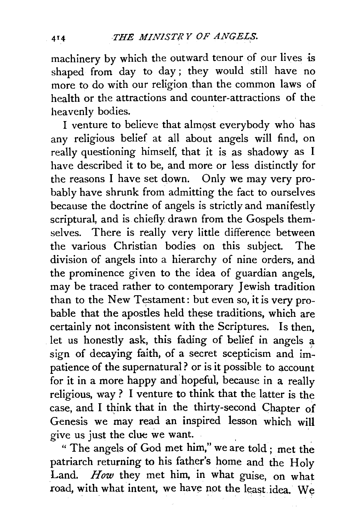machinery by which the outward tenour of our lives is shaped from day to day ; they would still have no more to do with our religion. than the common laws of health or the attractions and counter-attractions of the heavenly bodies.

I venture to believe that almost everybody who has any religious belief at all about angels will find, on really questioning himself, that it is as shadowy as I have described it to be, and more or less distinctly for the reasons I have set down. Only we may very probably have shrunk from admitting the fact to ourselves because the doctrine of angels is strictly and manifestly scriptural, and is chiefly drawn from the Gospels themselves. There is really very little difference between the various Christian bodies on this subject. The division of angels into a hierarchy of nine orders, and the prominence given to the idea of guardian angels, may be traced rather to contemporary Jewish tradition than to the New Testament: but even so, it is very probable that the apostles held these traditions, which are certainly not inconsistent with the Scriptures. Is then, let us honestly ask, this fading of belief in angels a sign of decaying faith, of a secret scepticism and im' patience of the supernatural ? or is it possible to account for it in a more happy and hopeful, because in a really religious, way ? I venture to think that the latter is the case, and I think that in the thirty-second Chapter of Genesis we may read an inspired lesson which will give us just the clue we want.

" The angels of God met him," we are told; met the patriarch returning to his father's home and the Holy Land. *How* they met him, in what guise, on what road, with what intent, we have not the least idea. We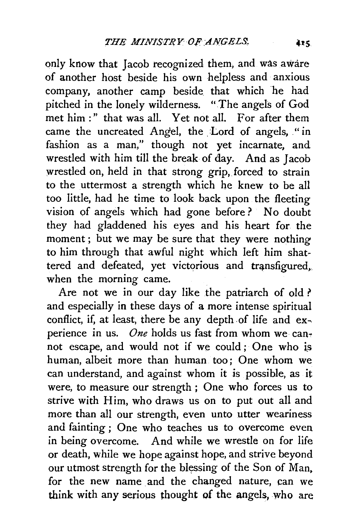only know that Jacob recognized them, and was aware of another host beside his own helpless and anxious company, another camp beside that which he had pitched in the lonely wilderness. "The angels of God met him :" that was all. Yet not all. For after them came the uncreated Angel, the Lord of angels, "in fashion as a man," though not yet incarnate, and wrestled with him till the break of day. And as Jacob wrestled on, held in that strong grip, forced to strain to the uttermost a strength which he knew to be all too little, had he time to look back upon the fleeting vision of angels which had gone before ? No doubt they had gladdened his eyes and his heart for the moment ; but we may be sure that they were nothing to him through that awful night which left him shattered and defeated, yet victorious and transfigured, when the morning came.

Are not we in our day like the patriarch of old ? and especially in these days of a more intense spiritual conflict, if, at least, there be any depth of life and experience in us. *One* holds us fast from whom we cannot escape, and would not if we could ; One who is human, albeit more than human too; One whom we can understand, and against whom it is possible, as it were, to measure our strength ; One who forces us to strive with Him, who draws us on to put out all and more than all our strength, even unto utter weariness and fainting ; One who teaches us to overcome even in being overcome. And while we wrestle on for life or death, while we hope against hope, and strive beyond our utmost strength for the blessing of the Son of Man, for the new name and the changed nature, can we think with any serious thought of the angels, who are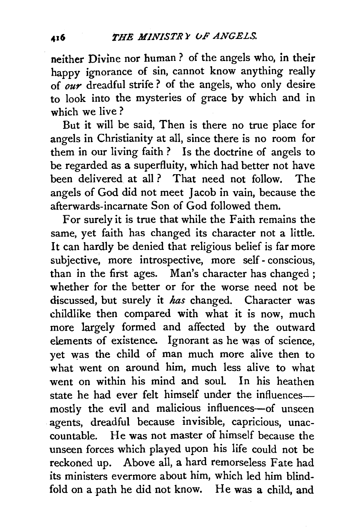neither Divine nor human ? of the angels who, in their happy ignorance of sin, cannot know anything really of *our* dreadful strife? of the angels, who only desire to look into the mysteries of grace by which and in which we live?

But it will be said, Then is there no true place for angels in Christianity at all, since there is no room for them in our living faith ? Is the doctrihe of angels to be regarded as a superfluity, which had better not have been delivered at all ? That need not follow. The angels of God did not meet Jacob in vain, because the afterwards-incarnate Son of God followed them.

For surely it is true that while the Faith remains the same, yet faith has changed its character not a little. It can hardly be denied that religious belief is far more subjective, more introspective, more self- conscious, than in the first ages. Man's character has changed; whether for the better or for the worse need not be discussed, but surely it *has* changed. Character was childlike then compared with what it is now, much more largely formed and affected by the outward elements of existence. Ignorant as he was of science, yet was the child of man much more alive then to what went on around him, much less alive to what went on within his mind and soul. In his heathen state he had ever felt himself under the influencesmostly the evil and malicious influences-of unseen agents, dreadful because invisible, capricious, unaccountable. He was not master of himself because the unseen forces which played upon his life could not be reckoned up. Above all, a hard remorseless Fate had its ministers evermore about him, which led him blindfold on a path he did not know. He was a child, and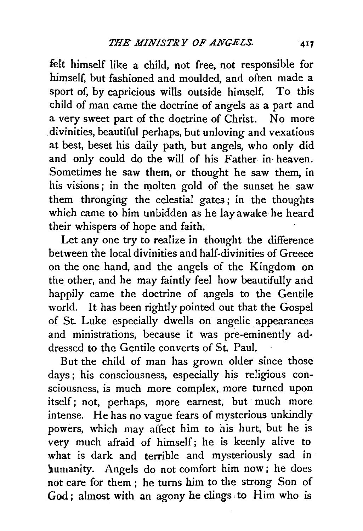felt himself like a child, not free, not responsible for himself, but fashioned and moulded, and often made a sport of, by capricious wills outside himself. To this child of man came the doctrine of angels as a part and a very sweet part of the doctrine of Christ. No more divinities, beautiful perhaps, but unloving and vexatious at best, beset his daily path, but angels, who only did and only could do the will of his Father in heaven. Sometimes he saw them, or thought he saw them, in his visions; in the molten gold of the sunset he saw them thronging the celestial gates ; in the thoughts which came to him unbidden as he lay awake he heard their whispers of hope and faith.

Let any one try to realize in thought the difference between the local divinities and half-divinities of Greece on the one hand, and the angels of the Kingdom on the other, and he may faintly feel how beautifully and happily came the doctrine of angels to the Gentile world. It has been rightly pointed out that the Gospel of St. Luke especially dwells on angelic appearances and ministrations, because it was pre-eminently addressed to the Gentile converts of St. Paul.

But the child of man has grown older since those days; his consciousness, especially his religious consciousness, is much more complex, more turned upon itself; not, perhaps, more earnest, but much more intense. He has no vague fears of mysterious unkindly powers, which may affect him to his hurt, but he is very much afraid of himself; he is keenly alive to what is dark and terrible and mysteriously sad in humanity. Angels do not comfort him now; he does not care for them; he turns him to the strong Son of God; almost with an agony he clings to Him who is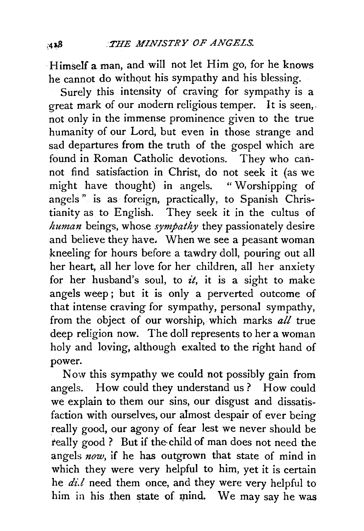Himself a man, and will not let Him go, for he knows he cannot do without his sympathy and his blessing.

Surely this intensity of craving for sympathy is a great mark of our modern religious temper. It is seen,. not only in the immense prominence given to the true humanity of our Lord, but even in those strange and sad departures from the truth of the gospel which are found in Roman Catholic devotions. They who cannot find satisfaction in Christ, do not seek it (as we might have thought) in angels. " Worshipping of angels" is as foreign, practically, to Spanish Christianity as to English. They seek it in the cultus of *human* beings, whose *sympathy* they passionately desire and believe they have. When we see a peasant woman kneeling for hours before a tawdry doll, pouring out all her heart, all her love for her children, all her anxiety for her husband's soul, to *it,* it is a sight to make angels weep ; but it is only a perverted outcome of that intense craving for sympathy, personal sympathy, from the object of our worship, which marks *all* true deep religion now. The doll represents to her a woman holy and loving, although exalted to the right hand of power.

Now this sympathy we could not possibly gain from angels. How could they understand us? How could we explain to them our sins, our disgust and dissatisfaction with ourselves, our almost despair of ever being really good, our agony of fear lest we never should be really good ? But if the child of man does not need the angels *now,* if he has outgrown that state of mind in which they were very helpful to him, yet it is certain he  $di.$  need them once, and they were very helpful to him in his then state of mind. We may say he was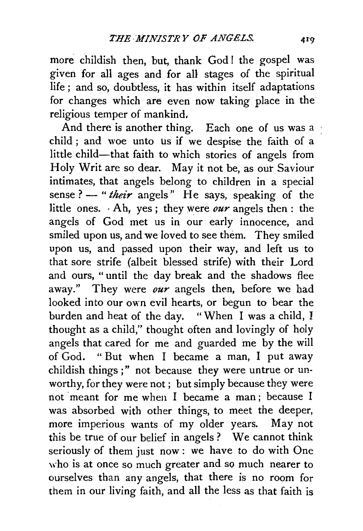more childish then, but, thank God ! the gospel was given for all ages and for all stages of the spiritual life ; and so, doubtless, it has within itself adaptations for changes which are even now taking place in the religious temper of mankind,

And there is another thing. Each one of us was a child ; and woe unto us if we despise the faith of a little child-that faith to which stories of angels from Holy Writ are so dear. May it not be, as our Saviour intimates, that angels belong to children in a special sense? - "their angels" He says, speaking of the little ones. Ah, yes; they were *our* angels then : the angels of God met us in our early innocence, and smiled upon us, and we loved to see them. They smiled upon us, and passed upon their way, and left us to that sore strife (albeit blessed strife) with their Lord and ours, " until the day break and the shadows flee away." They were *our* angels then, before we bad looked into our own evil hearts, or begun to bear the burden and heat of the day. "When I was a child, I thought as a child," thought often and lovingly of holy angels that cared for me and guarded me by the will of God. "But when I became a man, I put away childish things;" not because they were untrue or unworthy, for they were not ; but simply because they were not meant for me when I became a man; because I was absorbed with other things, to meet the deeper, more imperious wants of my older years. May not this be true of our belief in angels ? We cannot think seriously of them just now : we have to do with One who is at once so much greater and so much nearer to ourselves than any angels, that there is no room for them in our living faith, and all the less as that faith is